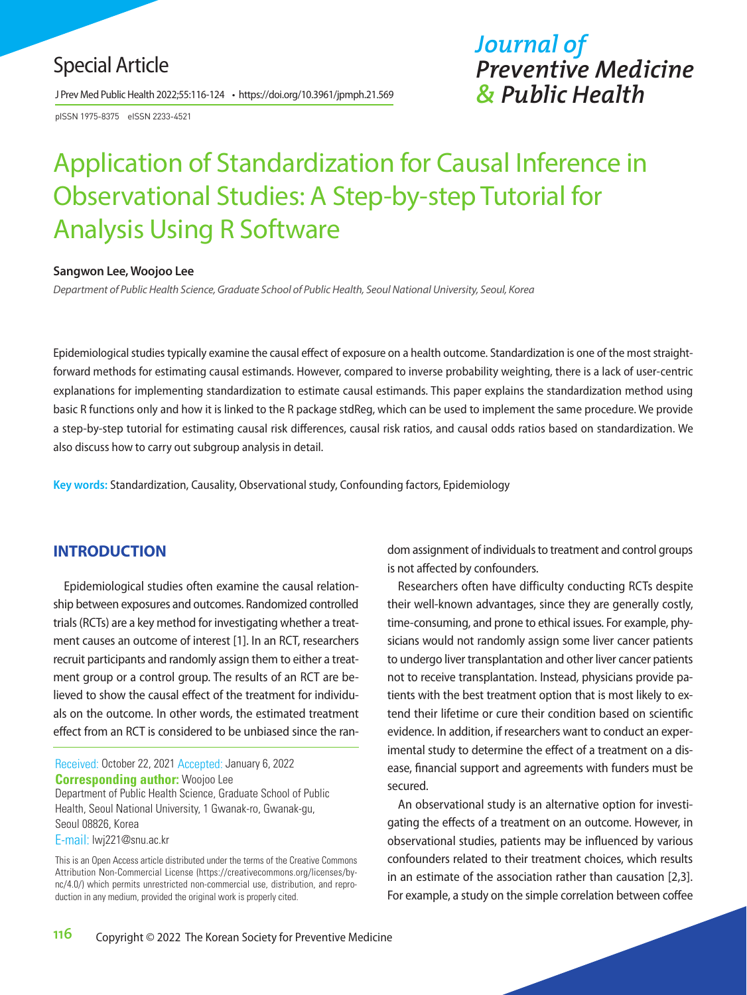# Special Article

J Prev Med Public Health 2022;55:116-124 • https://doi.org/10.3961/jpmph.21.569

pISSN 1975-8375 eISSN 2233-4521

# *Journal of Preventive Medicine & Public Health*

# Application of Standardization for Causal Inference in Observational Studies: A Step-by-step Tutorial for Analysis Using R Software

#### **Sangwon Lee, Woojoo Lee**

*Department of Public Health Science, Graduate School of Public Health, Seoul National University, Seoul, Korea*

Epidemiological studies typically examine the causal effect of exposure on a health outcome. Standardization is one of the most straightforward methods for estimating causal estimands. However, compared to inverse probability weighting, there is a lack of user-centric explanations for implementing standardization to estimate causal estimands. This paper explains the standardization method using basic R functions only and how it is linked to the R package stdReg, which can be used to implement the same procedure. We provide a step-by-step tutorial for estimating causal risk differences, causal risk ratios, and causal odds ratios based on standardization. We also discuss how to carry out subgroup analysis in detail.

**Key words:** Standardization, Causality, Observational study, Confounding factors, Epidemiology

### **INTRODUCTION**

Epidemiological studies often examine the causal relationship between exposures and outcomes. Randomized controlled trials (RCTs) are a key method for investigating whether a treatment causes an outcome of interest [1]. In an RCT, researchers recruit participants and randomly assign them to either a treatment group or a control group. The results of an RCT are believed to show the causal effect of the treatment for individuals on the outcome. In other words, the estimated treatment effect from an RCT is considered to be unbiased since the ran-

Received: October 22, 2021 Accepted: January 6, 2022 **Corresponding author:** Woojoo Lee Department of Public Health Science, Graduate School of Public Health, Seoul National University, 1 Gwanak-ro, Gwanak-gu, Seoul 08826, Korea E-mail: lwj221@snu.ac.kr

This is an Open Access article distributed under the terms of the Creative Commons Attribution Non-Commercial License (https://creativecommons.org/licenses/bync/4.0/) which permits unrestricted non-commercial use, distribution, and reproduction in any medium, provided the original work is properly cited.

dom assignment of individuals to treatment and control groups is not affected by confounders.

Researchers often have difficulty conducting RCTs despite their well-known advantages, since they are generally costly, time-consuming, and prone to ethical issues. For example, physicians would not randomly assign some liver cancer patients to undergo liver transplantation and other liver cancer patients not to receive transplantation. Instead, physicians provide patients with the best treatment option that is most likely to extend their lifetime or cure their condition based on scientific evidence. In addition, if researchers want to conduct an experimental study to determine the effect of a treatment on a disease, financial support and agreements with funders must be secured.

An observational study is an alternative option for investigating the effects of a treatment on an outcome. However, in observational studies, patients may be influenced by various confounders related to their treatment choices, which results in an estimate of the association rather than causation [2,3]. For example, a study on the simple correlation between coffee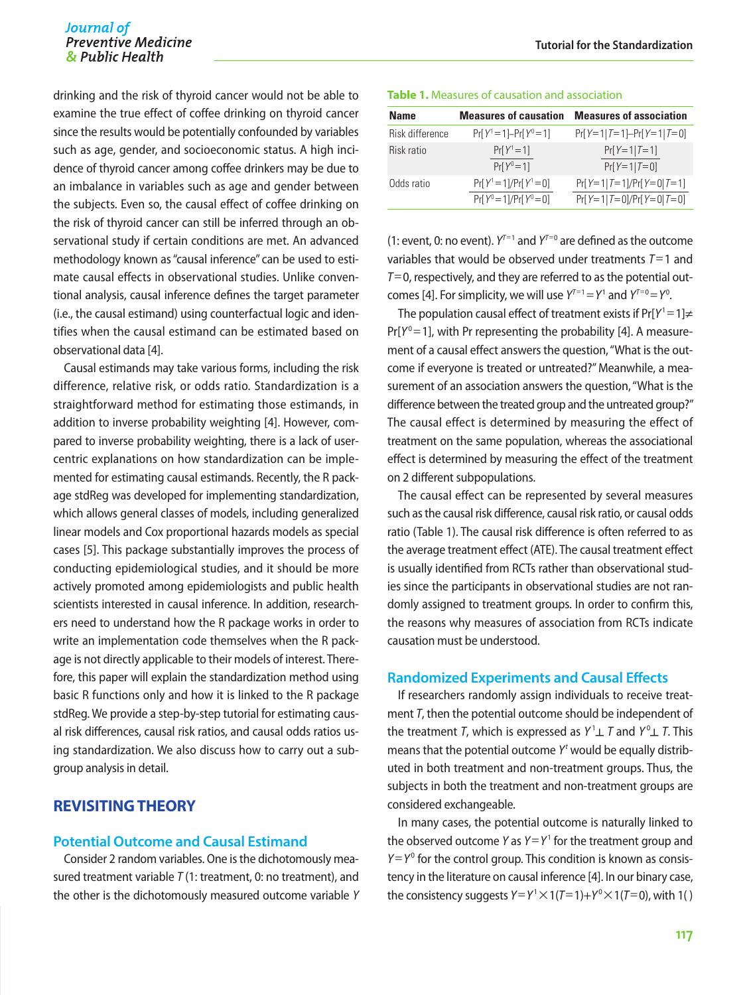## Journal of *Preventive Medicine*<br>*SPublic Health*

drinking and the risk of thyroid cancer would not be able to examine the true effect of coffee drinking on thyroid cancer since the results would be potentially confounded by variables such as age, gender, and socioeconomic status. A high incidence of thyroid cancer among coffee drinkers may be due to an imbalance in variables such as age and gender between the subjects. Even so, the causal effect of coffee drinking on the risk of thyroid cancer can still be inferred through an observational study if certain conditions are met. An advanced methodology known as "causal inference" can be used to estimate causal effects in observational studies. Unlike conventional analysis, causal inference defines the target parameter (i.e., the causal estimand) using counterfactual logic and identifies when the causal estimand can be estimated based on observational data [4].

Causal estimands may take various forms, including the risk difference, relative risk, or odds ratio. Standardization is a straightforward method for estimating those estimands, in addition to inverse probability weighting [4]. However, compared to inverse probability weighting, there is a lack of usercentric explanations on how standardization can be implemented for estimating causal estimands. Recently, the R package stdReg was developed for implementing standardization, which allows general classes of models, including generalized linear models and Cox proportional hazards models as special cases [5]. This package substantially improves the process of conducting epidemiological studies, and it should be more actively promoted among epidemiologists and public health scientists interested in causal inference. In addition, researchers need to understand how the R package works in order to write an implementation code themselves when the R package is not directly applicable to their models of interest. Therefore, this paper will explain the standardization method using basic R functions only and how it is linked to the R package stdReg. We provide a step-by-step tutorial for estimating causal risk differences, causal risk ratios, and causal odds ratios using standardization. We also discuss how to carry out a subgroup analysis in detail.

### **REVISITING THEORY**

### **Potential Outcome and Causal Estimand**

Consider 2 random variables. One is the dichotomously measured treatment variable *T* (1: treatment, 0: no treatment), and the other is the dichotomously measured outcome variable *Y*

#### **Table 1.** Measures of causation and association

| <b>Name</b>     | <b>Measures of causation</b>                           | <b>Measures of association</b>                         |
|-----------------|--------------------------------------------------------|--------------------------------------------------------|
| Risk difference | $Pr[Y^1 = 1] - Pr[Y^0 = 1]$                            | $Pr[Y=1 T=1]-Pr[Y=1 T=0]$                              |
| Risk ratio      | $Pr[Y^1 = 1]$<br>$Pr[Y^0 = 1]$                         | $Pr[Y=1 T=1]$<br>$Pr[Y=1 T=0]$                         |
| Odds ratio      | $Pr[Y^1 = 1]/Pr[Y^1 = 0]$<br>$Pr[Y^0 = 1]/Pr[Y^0 = 0]$ | $Pr[Y=1 T=1]/Pr[Y=0 T=1]$<br>$Pr[Y=1 T=0]/Pr[Y=0 T=0]$ |

(1: event, 0: no event).  $Y^{T=1}$  and  $Y^{T=0}$  are defined as the outcome variables that would be observed under treatments *T*=1 and *T*=0, respectively, and they are referred to as the potential outcomes [4]. For simplicity, we will use  $Y^{T=1} = Y^1$  and  $Y^{T=0} = Y^0$ .

The population causal effect of treatment exists if  $Pr[Y^1 = 1] \neq$  $Pr[Y^0=1]$ , with Pr representing the probability [4]. A measurement of a causal effect answers the question, "What is the outcome if everyone is treated or untreated?" Meanwhile, a measurement of an association answers the question, "What is the difference between the treated group and the untreated group?" The causal effect is determined by measuring the effect of treatment on the same population, whereas the associational effect is determined by measuring the effect of the treatment on 2 different subpopulations.

The causal effect can be represented by several measures such as the causal risk difference, causal risk ratio, or causal odds ratio (Table 1). The causal risk difference is often referred to as the average treatment effect (ATE). The causal treatment effect is usually identified from RCTs rather than observational studies since the participants in observational studies are not randomly assigned to treatment groups. In order to confirm this, the reasons why measures of association from RCTs indicate causation must be understood.

### **Randomized Experiments and Causal Effects**

If researchers randomly assign individuals to receive treatment *T*, then the potential outcome should be independent of the treatment *T*, which is expressed as  $Y^1 \perp T$  and  $Y^0 \perp T$ . This means that the potential outcome Y<sup>t</sup> would be equally distributed in both treatment and non-treatment groups. Thus, the subjects in both the treatment and non-treatment groups are considered exchangeable.

In many cases, the potential outcome is naturally linked to the observed outcome  $Y$  as  $Y = Y<sup>1</sup>$  for the treatment group and  $Y = Y<sup>0</sup>$  for the control group. This condition is known as consistency in the literature on causal inference [4]. In our binary case, the consistency suggests  $Y = Y^1 \times 1(T = 1) + Y^0 \times 1(T = 0)$ , with 1()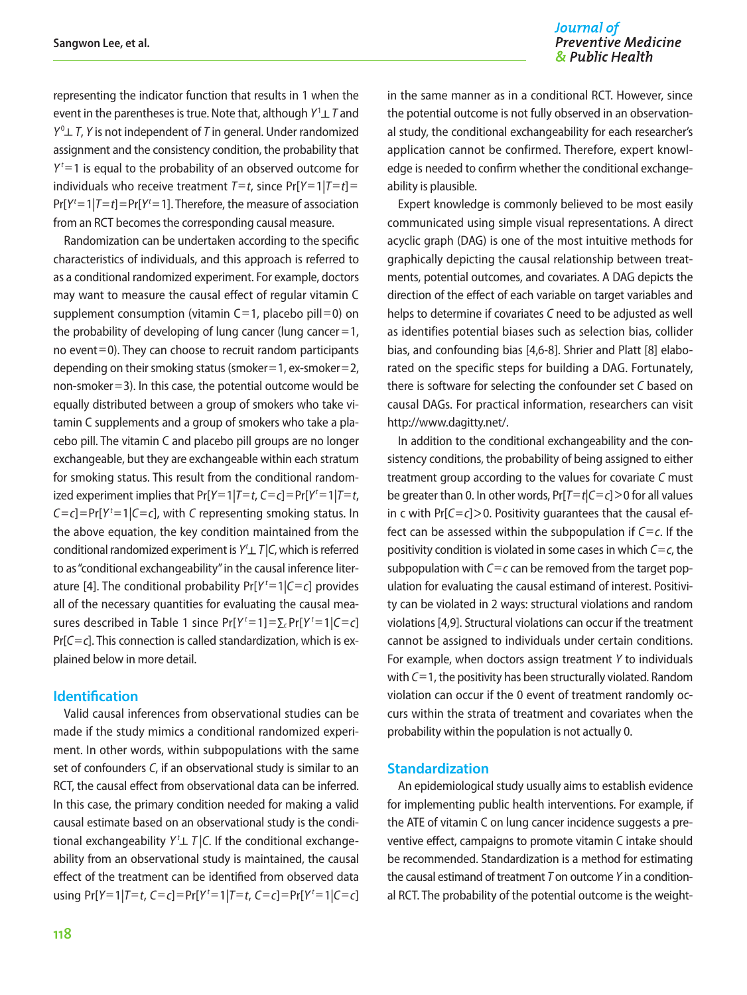representing the indicator function that results in 1 when the event in the parentheses is true. Note that, although *Y*<sup>1</sup> ┴ *T* and *Y*0 ┴ *T*, *Y* is not independent of *T* in general. Under randomized assignment and the consistency condition, the probability that  $Y^t = 1$  is equal to the probability of an observed outcome for individuals who receive treatment  $T=t$ , since  $Pr[Y=1|T=t]$  $Pr[Y^t = 1 | T = t] = Pr[Y^t = 1]$ . Therefore, the measure of association from an RCT becomes the corresponding causal measure.

Randomization can be undertaken according to the specific characteristics of individuals, and this approach is referred to as a conditional randomized experiment. For example, doctors may want to measure the causal effect of regular vitamin C supplement consumption (vitamin  $C=1$ , placebo pill=0) on the probability of developing of lung cancer (lung cancer  $=1$ , no event=0). They can choose to recruit random participants depending on their smoking status (smoker  $=$  1, ex-smoker  $=$  2, non-smoker =3). In this case, the potential outcome would be equally distributed between a group of smokers who take vitamin C supplements and a group of smokers who take a placebo pill. The vitamin C and placebo pill groups are no longer exchangeable, but they are exchangeable within each stratum for smoking status. This result from the conditional randomized experiment implies that  $Pr[Y=1|T=t, C=c] = Pr[Y^t=1|T=t,$  $C = c$ ] = Pr[ $Y<sup>t</sup> = 1$ | $C = c$ ], with *C* representing smoking status. In the above equation, the key condition maintained from the conditional randomized experiment is *Y t* ┴ *T* |*C*, which is referred to as "conditional exchangeability" in the causal inference literature [4]. The conditional probability  $Pr[Y^t=1|C=c]$  provides all of the necessary quantities for evaluating the causal measures described in Table 1 since  $Pr[Y^t=1] = \sum_c Pr[Y^t=1|C=c]$ Pr[*C*=*c*]. This connection is called standardization, which is explained below in more detail.

### **Identification**

Valid causal inferences from observational studies can be made if the study mimics a conditional randomized experiment. In other words, within subpopulations with the same set of confounders *C*, if an observational study is similar to an RCT, the causal effect from observational data can be inferred. In this case, the primary condition needed for making a valid causal estimate based on an observational study is the conditional exchangeability  $Y^t \perp T$  | C. If the conditional exchangeability from an observational study is maintained, the causal effect of the treatment can be identified from observed data using  $Pr[Y=1|T=t, C=c] = Pr[Y^t=1|T=t, C=c] = Pr[Y^t=1|C=c]$  in the same manner as in a conditional RCT. However, since the potential outcome is not fully observed in an observational study, the conditional exchangeability for each researcher's application cannot be confirmed. Therefore, expert knowledge is needed to confirm whether the conditional exchangeability is plausible.

Expert knowledge is commonly believed to be most easily communicated using simple visual representations. A direct acyclic graph (DAG) is one of the most intuitive methods for graphically depicting the causal relationship between treatments, potential outcomes, and covariates. A DAG depicts the direction of the effect of each variable on target variables and helps to determine if covariates *C* need to be adjusted as well as identifies potential biases such as selection bias, collider bias, and confounding bias [4,6-8]. Shrier and Platt [8] elaborated on the specific steps for building a DAG. Fortunately, there is software for selecting the confounder set *C* based on causal DAGs. For practical information, researchers can visit http://www.dagitty.net/.

In addition to the conditional exchangeability and the consistency conditions, the probability of being assigned to either treatment group according to the values for covariate *C* must be greater than 0. In other words, Pr[*T*=*t*|*C*=*c*]>0 for all values in c with  $Pr[C=c]>0$ . Positivity guarantees that the causal effect can be assessed within the subpopulation if *C*=*c*. If the positivity condition is violated in some cases in which *C*=*c*, the subpopulation with *C*=*c* can be removed from the target population for evaluating the causal estimand of interest. Positivity can be violated in 2 ways: structural violations and random violations [4,9]. Structural violations can occur if the treatment cannot be assigned to individuals under certain conditions. For example, when doctors assign treatment *Y* to individuals with *C*=1, the positivity has been structurally violated. Random violation can occur if the 0 event of treatment randomly occurs within the strata of treatment and covariates when the probability within the population is not actually 0.

#### **Standardization**

An epidemiological study usually aims to establish evidence for implementing public health interventions. For example, if the ATE of vitamin C on lung cancer incidence suggests a preventive effect, campaigns to promote vitamin C intake should be recommended. Standardization is a method for estimating the causal estimand of treatment *T* on outcome *Y* in a conditional RCT. The probability of the potential outcome is the weight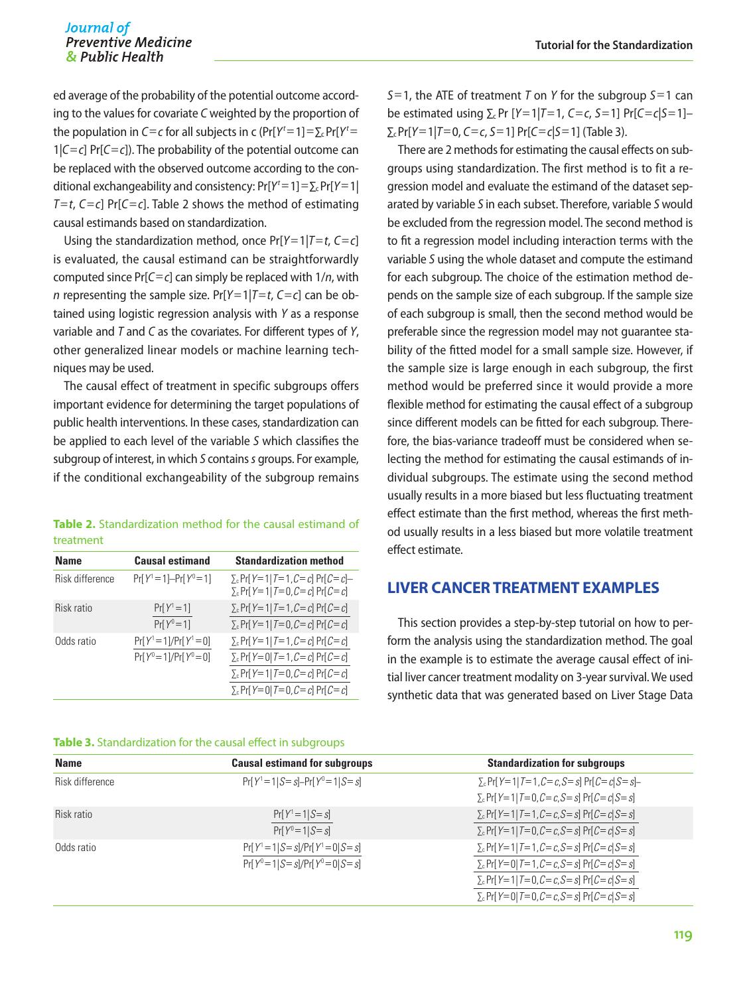ed average of the probability of the potential outcome according to the values for covariate *C* weighted by the proportion of the population in *C*=*c* for all subjects in c (Pr[ $Y<sup>t</sup>=1$ ]= $\Sigma_c$ Pr[ $Y<sup>t</sup>$ = 1|*C*=*c*] Pr[*C*=*c*]). The probability of the potential outcome can be replaced with the observed outcome according to the conditional exchangeability and consistency: Pr[Y<sup>t</sup> = 1] = ∑<sub>c</sub>Pr[Y = 1] *T*=*t*, *C*=*c*] Pr[*C*=*c*]. Table 2 shows the method of estimating causal estimands based on standardization.

Using the standardization method, once Pr[*Y*=1|*T*=*t*, *C*=*c*] is evaluated, the causal estimand can be straightforwardly computed since Pr[*C*=*c*] can simply be replaced with 1/*n*, with *n* representing the sample size. Pr[*Y*=1|*T*=*t*, *C*=*c*] can be obtained using logistic regression analysis with *Y* as a response variable and *T* and *C* as the covariates. For different types of *Y*, other generalized linear models or machine learning techniques may be used.

The causal effect of treatment in specific subgroups offers important evidence for determining the target populations of public health interventions. In these cases, standardization can be applied to each level of the variable *S* which classifies the subgroup of interest, in which *S* contains *s* groups. For example, if the conditional exchangeability of the subgroup remains

|           | <b>Table 2.</b> Standardization method for the causal estimand of |  |  |  |
|-----------|-------------------------------------------------------------------|--|--|--|
| treatment |                                                                   |  |  |  |

| <b>Name</b>     | <b>Causal estimand</b>                                 | <b>Standardization method</b>                                                                                                                            |
|-----------------|--------------------------------------------------------|----------------------------------------------------------------------------------------------------------------------------------------------------------|
| Risk difference | $Pr[Y^1 = 1] - Pr[Y^0 = 1]$                            | $\Sigma_c$ Pr[Y=1 T=1, C=c] Pr[C=c]-<br>$\Sigma_c$ Pr[Y=1] $T=0$ , $C=c$ ] Pr[ $C=c$ ]                                                                   |
| Risk ratio      | $Pr[Y^1 = 1]$<br>$Pr[Y^0 = 1]$                         | $\Sigma_c$ Pr[Y=1 T=1, C=c] Pr[C=c]<br>$\Sigma_c$ Pr[Y=1 T=0, C=c] Pr[C=c]                                                                               |
| Odds ratio      | $Pr[Y^1 = 1]/Pr[Y^1 = 0]$<br>$Pr[Y^0 = 1]/Pr[Y^0 = 0]$ | $\Sigma_c$ Pr[Y=1 T=1, C=c] Pr[C=c]<br>$\Sigma_c$ Pr[Y=0 T=1, C=c] Pr[C=c]<br>$\Sigma_c$ Pr[Y=1 T=0, C=c] Pr[C=c]<br>$\Sigma_c$ Pr[Y=0 T=0, C=c] Pr[C=c] |

| <b>Table 3.</b> Standardization for the causal effect in subgroups |  |  |  |
|--------------------------------------------------------------------|--|--|--|
|--------------------------------------------------------------------|--|--|--|

*S*=1, the ATE of treatment *T* on *Y* for the subgroup *S*=1 can be estimated using  $\Sigma$ <sub>*c*</sub> Pr [*Y* = 1|*T* = 1, *C* = *c*, *S* = 1] Pr[*C* = *c*|*S* = 1]− ∑c Pr[*Y*=1|*T*=0, *C*=*c*, *S*=1] Pr[*C*=*c*|*S*=1] (Table 3).

There are 2 methods for estimating the causal effects on subgroups using standardization. The first method is to fit a regression model and evaluate the estimand of the dataset separated by variable *S* in each subset. Therefore, variable *S* would be excluded from the regression model. The second method is to fit a regression model including interaction terms with the variable *S* using the whole dataset and compute the estimand for each subgroup. The choice of the estimation method depends on the sample size of each subgroup. If the sample size of each subgroup is small, then the second method would be preferable since the regression model may not guarantee stability of the fitted model for a small sample size. However, if the sample size is large enough in each subgroup, the first method would be preferred since it would provide a more flexible method for estimating the causal effect of a subgroup since different models can be fitted for each subgroup. Therefore, the bias-variance tradeoff must be considered when selecting the method for estimating the causal estimands of individual subgroups. The estimate using the second method usually results in a more biased but less fluctuating treatment effect estimate than the first method, whereas the first method usually results in a less biased but more volatile treatment effect estimate.

### **LIVER CANCER TREATMENT EXAMPLES**

This section provides a step-by-step tutorial on how to perform the analysis using the standardization method. The goal in the example is to estimate the average causal effect of initial liver cancer treatment modality on 3-year survival. We used synthetic data that was generated based on Liver Stage Data

| <b>Name</b>     | <b>Causal estimand for subgroups</b>        | <b>Standardization for subgroups</b>          |
|-----------------|---------------------------------------------|-----------------------------------------------|
| Risk difference | $Pr[Y^1 = 1   S = s] - Pr[Y^0 = 1   S = s]$ | $\Sigma_c$ Pr[Y=1 T=1, C=c, S=s] Pr[C=c S=s]- |
|                 |                                             | $\Sigma_c$ Pr[Y=1 T=0, C=c, S=s] Pr[C=c S=s]  |
| Risk ratio      | $Pr[Y^1 = 1   S = s]$                       | $\Sigma_c$ Pr[Y=1 T=1, C=c, S=s] Pr[C=c S=s]  |
|                 | $Pr[Y^0 = 1   S = s]$                       | $\Sigma_c$ Pr[Y=1 T=0, C=c, S=s] Pr[C=c S=s]  |
| Odds ratio      | $Pr[Y^1 = 1   S = s] / Pr[Y^1 = 0   S = s]$ | $\Sigma_c$ Pr[Y=1 T=1, C=c, S=s] Pr[C=c S=s]  |
|                 | $Pr[Y^0 = 1   S = s] / Pr[Y^0 = 0   S = s]$ | $\Sigma_c$ Pr[Y=0 T=1, C=c, S=s] Pr[C=c S=s]  |
|                 |                                             | $\Sigma_c$ Pr[Y=1 T=0, C=c, S=s] Pr[C=c S=s]  |
|                 |                                             | $\Sigma_c$ Pr[Y=0] T=0, C=c, S=s] Pr[C=c S=s] |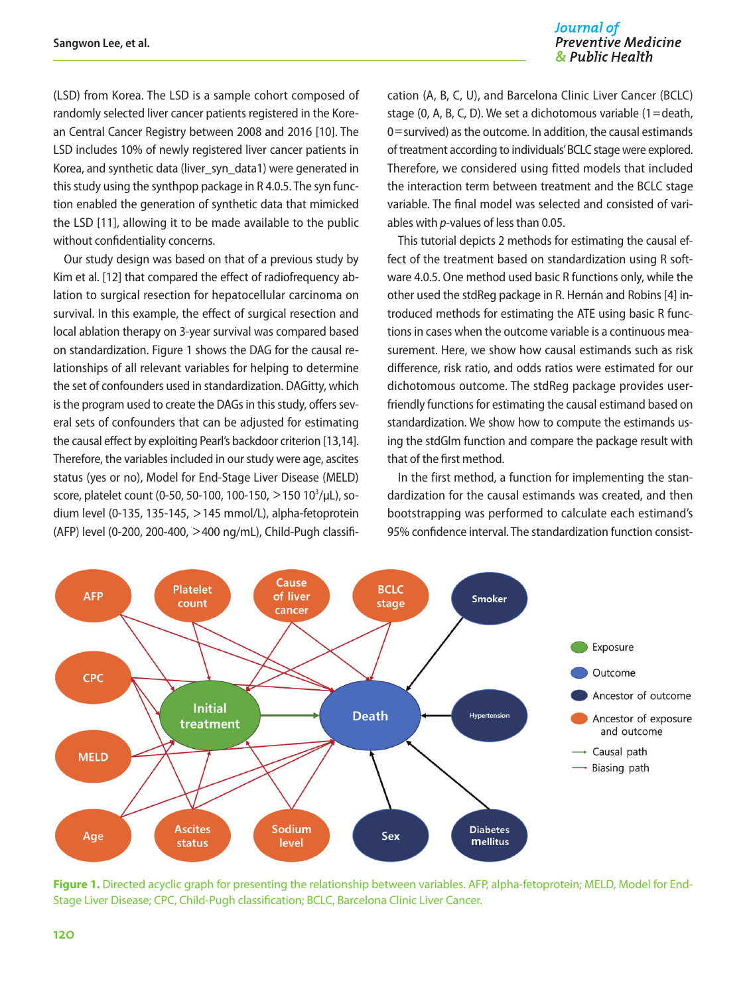### Journal of **Preventive Medicine** & Public Health

(LSD) from Korea. The LSD is a sample cohort composed of randomly selected liver cancer patients registered in the Korean Central Cancer Registry between 2008 and 2016 [10]. The LSD includes 10% of newly registered liver cancer patients in Korea, and synthetic data (liver syn\_data1) were generated in this study using the synthpop package in R 4.0.5. The syn function enabled the generation of synthetic data that mimicked the LSD [11], allowing it to be made available to the public without confidentiality concerns.

Our study design was based on that of a previous study by Kim et al. [12] that compared the effect of radiofrequency ablation to surgical resection for hepatocellular carcinoma on survival. In this example, the effect of surgical resection and local ablation therapy on 3-year survival was compared based on standardization. Figure 1 shows the DAG for the causal relationships of all relevant variables for helping to determine the set of confounders used in standardization. DAGitty, which is the program used to create the DAGs in this study, offers several sets of confounders that can be adjusted for estimating the causal effect by exploiting Pearl's backdoor criterion [13,14]. Therefore, the variables included in our study were age, ascites status (yes or no), Model for End-Stage Liver Disease (MELD) score, platelet count (0-50, 50-100, 100-150, >150 10<sup>3</sup>/μL), sodium level (0-135, 135-145, >145 mmol/L), alpha-fetoprotein (AFP) level (0-200, 200-400, >400 ng/mL), Child-Pugh classification (A, B, C, U), and Barcelona Clinic Liver Cancer (BCLC) stage (0, A, B, C, D). We set a dichotomous variable (1=death, 0=survived) as the outcome. In addition, the causal estimands of treatment according to individuals' BCLC stage were explored. Therefore, we considered using fitted models that included the interaction term between treatment and the BCLC stage variable. The final model was selected and consisted of variables with *p*-values of less than 0.05.

This tutorial depicts 2 methods for estimating the causal effect of the treatment based on standardization using R software 4.0.5. One method used basic R functions only, while the other used the stdReg package in R. Hernán and Robins [4] introduced methods for estimating the ATE using basic R functions in cases when the outcome variable is a continuous measurement. Here, we show how causal estimands such as risk difference, risk ratio, and odds ratios were estimated for our dichotomous outcome. The stdReg package provides userfriendly functions for estimating the causal estimand based on standardization. We show how to compute the estimands using the stdGlm function and compare the package result with that of the first method.

In the first method, a function for implementing the standardization for the causal estimands was created, and then bootstrapping was performed to calculate each estimand's 95% confidence interval. The standardization function consist-



**Figure 1.** Directed acyclic graph for presenting the relationship between variables. AFP, alpha-fetoprotein; MELD, Model for End-Stage Liver Disease; CPC, Child-Pugh classification; BCLC, Barcelona Clinic Liver Cancer.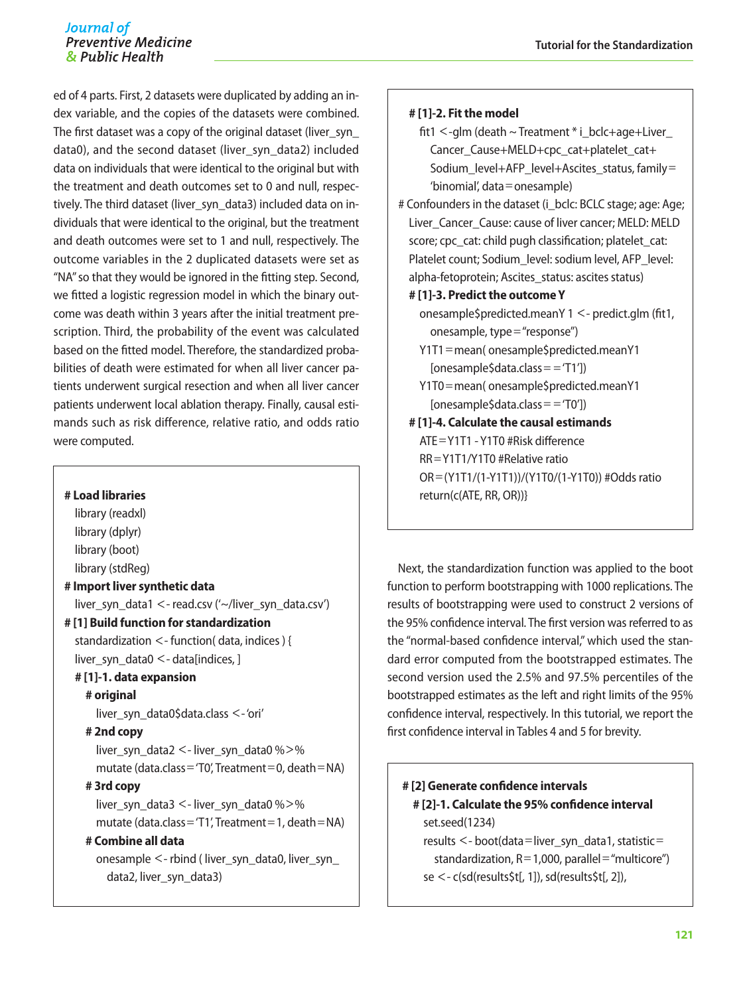ed of 4 parts. First, 2 datasets were duplicated by adding an index variable, and the copies of the datasets were combined. The first dataset was a copy of the original dataset (liver\_syn\_ data0), and the second dataset (liver\_syn\_data2) included data on individuals that were identical to the original but with the treatment and death outcomes set to 0 and null, respectively. The third dataset (liver syn\_data3) included data on individuals that were identical to the original, but the treatment and death outcomes were set to 1 and null, respectively. The outcome variables in the 2 duplicated datasets were set as "NA" so that they would be ignored in the fitting step. Second, we fitted a logistic regression model in which the binary outcome was death within 3 years after the initial treatment prescription. Third, the probability of the event was calculated based on the fitted model. Therefore, the standardized probabilities of death were estimated for when all liver cancer patients underwent surgical resection and when all liver cancer patients underwent local ablation therapy. Finally, causal estimands such as risk difference, relative ratio, and odds ratio were computed.

### **# Load libraries**

library (readxl) library (dplyr) library (boot) library (stdReg) **# Import liver synthetic data** liver syn\_data1 <- read.csv ('~/liver\_syn\_data.csv') **# [1] Build function for standardization** standardization <- function( data, indices ) { liver syn data0  $\lt$ - data[indices, ] **# [1]-1. data expansion # original** liver\_syn\_data0\$data.class <- 'ori' **# 2nd copy** liver syn\_data2 <- liver\_syn\_data0 % $>$ % mutate (data.class='T0', Treatment=0, death=NA) **# 3rd copy** liver\_syn\_data3 <- liver\_syn\_data0 %>% mutate (data.class= $'T1'$ , Treatment=1, death=NA) **# Combine all data** onesample <- rbind ( liver\_syn\_data0, liver\_syn\_ data2, liver\_syn\_data3)

### **# [1]-2. Fit the model**

- fit1  $\le$ -glm (death  $\sim$  Treatment  $*$  i\_bclc+age+Liver Cancer Cause+MELD+cpc cat+platelet cat+ Sodium\_level+AFP\_level+Ascites\_status, family= 'binomial', data=onesample)
- # Confounders in the dataset (i bclc: BCLC stage; age: Age; Liver\_Cancer\_Cause: cause of liver cancer; MELD: MELD score; cpc\_cat: child pugh classification; platelet\_cat: Platelet count: Sodium level: sodium level, AFP level: alpha-fetoprotein; Ascites status: ascites status)

#### **# [1]-3. Predict the outcome Y**

- onesample\$predicted.meanY 1 <- predict.glm (fit1, onesample, type="response")
- Y1T1=mean( onesample\$predicted.meanY1  $[onesample$data.class = -T1']$
- Y1T0=mean( onesample\$predicted.meanY1  $[onesample$data.class = 'TO']$

**# [1]-4. Calculate the causal estimands** ATE=Y1T1 - Y1T0 #Risk difference RR=Y1T1/Y1T0 #Relative ratio OR=(Y1T1/(1-Y1T1))/(Y1T0/(1-Y1T0)) #Odds ratio return(c(ATE, RR, OR))}

Next, the standardization function was applied to the boot function to perform bootstrapping with 1000 replications. The results of bootstrapping were used to construct 2 versions of the 95% confidence interval. The first version was referred to as the "normal-based confidence interval," which used the standard error computed from the bootstrapped estimates. The second version used the 2.5% and 97.5% percentiles of the bootstrapped estimates as the left and right limits of the 95% confidence interval, respectively. In this tutorial, we report the first confidence interval in Tables 4 and 5 for brevity.

### **# [2] Generate confidence intervals # [2]-1. Calculate the 95% confidence interval** set.seed(1234) results <- boot(data=liver\_syn\_data1, statistic= standardization,  $R=1,000$ , parallel = "multicore") se <- c(sd(results\$t[, 1]), sd(results\$t[, 2]),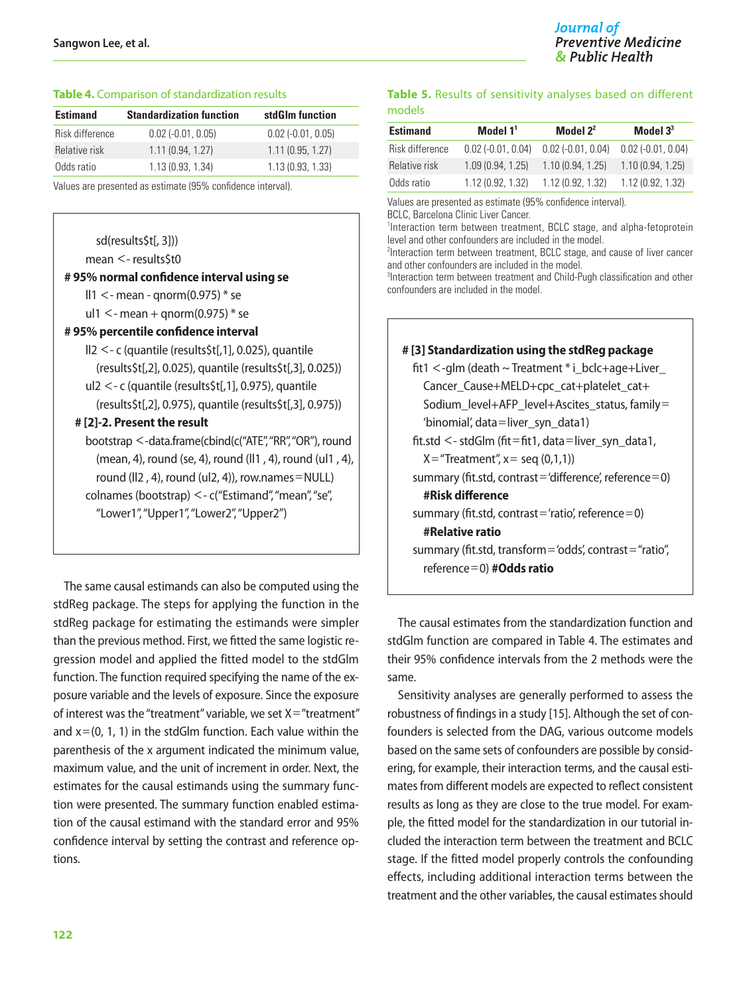#### **Table 4.** Comparison of standardization results

| <b>Estimand</b> | <b>Standardization function</b> | stdGlm function        |
|-----------------|---------------------------------|------------------------|
| Risk difference | $0.02$ ( $-0.01$ , $0.05$ )     | $0.02$ $(-0.01, 0.05)$ |
| Relative risk   | 1.11(0.94, 1.27)                | 1.11(0.95, 1.27)       |
| Odds ratio      | 1.13(0.93, 1.34)                | 1.13(0.93, 1.33)       |

Values are presented as estimate (95% confidence interval).

sd(results\$t[, 3]))

mean <- results\$t0

| #95% normal confidence interval using se |  |  |
|------------------------------------------|--|--|
|                                          |  |  |

 $\text{II}1 \leq$ - mean - qnorm $(0.975)$  \* se

ul1  $\leq$ - mean + qnorm(0.975) \* se

#### **# 95% percentile confidence interval**

ll2 <- c (quantile (results\$t[,1], 0.025), quantile (results\$t[,2], 0.025), quantile (results\$t[,3], 0.025)) ul2 <- c (quantile (results\$t[,1], 0.975), quantile (results\$t[,2], 0.975), quantile (results\$t[,3], 0.975))

#### **# [2]-2. Present the result**

bootstrap <-data.frame(cbind(c("ATE", "RR", "OR"), round (mean, 4), round (se, 4), round (ll1 , 4), round (ul1 , 4), round (II2, 4), round (uI2, 4)), row.names=NULL) colnames (bootstrap) <- c("Estimand", "mean", "se", "Lower1", "Upper1", "Lower2", "Upper2")

The same causal estimands can also be computed using the stdReg package. The steps for applying the function in the stdReg package for estimating the estimands were simpler than the previous method. First, we fitted the same logistic regression model and applied the fitted model to the stdGlm function. The function required specifying the name of the exposure variable and the levels of exposure. Since the exposure of interest was the "treatment" variable, we set  $X =$  "treatment" and  $x=(0, 1, 1)$  in the stdGlm function. Each value within the parenthesis of the x argument indicated the minimum value, maximum value, and the unit of increment in order. Next, the estimates for the causal estimands using the summary function were presented. The summary function enabled estimation of the causal estimand with the standard error and 95% confidence interval by setting the contrast and reference options.

#### **Table 5.** Results of sensitivity analyses based on different models

| <b>Estimand</b> | Model $11$                  | Model $2^2$          | Model $33$             |
|-----------------|-----------------------------|----------------------|------------------------|
| Risk difference | $0.02$ ( $-0.01$ , $0.04$ ) | $0.02$ (-0.01, 0.04) | $0.02$ $(-0.01, 0.04)$ |
| Relative risk   | 1.09(0.94, 1.25)            | 1.10(0.94, 1.25)     | 1.10(0.94, 1.25)       |
| Odds ratio      | 1.12(0.92, 1.32)            | 1.12(0.92, 1.32)     | 1.12(0.92, 1.32)       |

Values are presented as estimate (95% confidence interval).

BCLC, Barcelona Clinic Liver Cancer.

<sup>1</sup>Interaction term between treatment, BCLC stage, and alpha-fetoprotein level and other confounders are included in the model.

<sup>2</sup>Interaction term between treatment, BCLC stage, and cause of liver cancer and other confounders are included in the model.

3 Interaction term between treatment and Child-Pugh classification and other confounders are included in the model.

| # [3] Standardization using the stdReg package                          |
|-------------------------------------------------------------------------|
| $fit1 <$ -glm (death $\sim$ Treatment $*$ i_bclc+age+Liver_             |
| Cancer_Cause+MELD+cpc_cat+platelet_cat+                                 |
| Sodium_level+AFP_level+Ascites_status, family=                          |
| 'binomial', data=liver_syn_data1)                                       |
| $\text{fit}$ .std $\texttt{<}$ -stdGlm (fit=fit1, data=liver_syn_data1, |
| $X =$ "Treatment", $x =$ seq (0,1,1))                                   |
| summary (fit.std, contrast = 'difference', reference = 0)               |
| #Risk difference                                                        |
| summary (fit.std, contrast = 'ratio', reference = 0)                    |
| #Relative ratio                                                         |
| summary (fit.std, transform = 'odds', contrast = "ratio",               |
| reference=0) $#Odds$ ratio                                              |
|                                                                         |

The causal estimates from the standardization function and stdGlm function are compared in Table 4. The estimates and their 95% confidence intervals from the 2 methods were the same.

Sensitivity analyses are generally performed to assess the robustness of findings in a study [15]. Although the set of confounders is selected from the DAG, various outcome models based on the same sets of confounders are possible by considering, for example, their interaction terms, and the causal estimates from different models are expected to reflect consistent results as long as they are close to the true model. For example, the fitted model for the standardization in our tutorial included the interaction term between the treatment and BCLC stage. If the fitted model properly controls the confounding effects, including additional interaction terms between the treatment and the other variables, the causal estimates should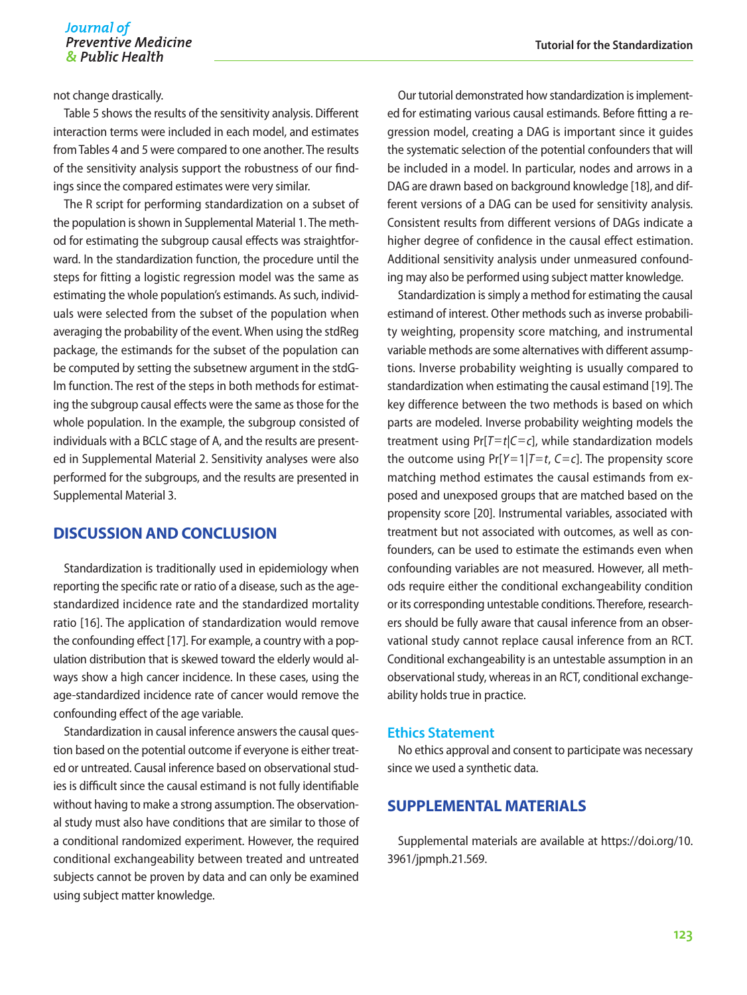#### Journal of **Preventive Medicine** & Public Health

not change drastically.

Table 5 shows the results of the sensitivity analysis. Different interaction terms were included in each model, and estimates from Tables 4 and 5 were compared to one another. The results of the sensitivity analysis support the robustness of our findings since the compared estimates were very similar.

The R script for performing standardization on a subset of the population is shown in Supplemental Material 1. The method for estimating the subgroup causal effects was straightforward. In the standardization function, the procedure until the steps for fitting a logistic regression model was the same as estimating the whole population's estimands. As such, individuals were selected from the subset of the population when averaging the probability of the event. When using the stdReg package, the estimands for the subset of the population can be computed by setting the subsetnew argument in the stdGlm function. The rest of the steps in both methods for estimating the subgroup causal effects were the same as those for the whole population. In the example, the subgroup consisted of individuals with a BCLC stage of A, and the results are presented in Supplemental Material 2. Sensitivity analyses were also performed for the subgroups, and the results are presented in Supplemental Material 3.

### **DISCUSSION AND CONCLUSION**

Standardization is traditionally used in epidemiology when reporting the specific rate or ratio of a disease, such as the agestandardized incidence rate and the standardized mortality ratio [16]. The application of standardization would remove the confounding effect [17]. For example, a country with a population distribution that is skewed toward the elderly would always show a high cancer incidence. In these cases, using the age-standardized incidence rate of cancer would remove the confounding effect of the age variable.

Standardization in causal inference answers the causal question based on the potential outcome if everyone is either treated or untreated. Causal inference based on observational studies is difficult since the causal estimand is not fully identifiable without having to make a strong assumption. The observational study must also have conditions that are similar to those of a conditional randomized experiment. However, the required conditional exchangeability between treated and untreated subjects cannot be proven by data and can only be examined using subject matter knowledge.

Our tutorial demonstrated how standardization is implemented for estimating various causal estimands. Before fitting a regression model, creating a DAG is important since it guides the systematic selection of the potential confounders that will be included in a model. In particular, nodes and arrows in a DAG are drawn based on background knowledge [18], and different versions of a DAG can be used for sensitivity analysis. Consistent results from different versions of DAGs indicate a higher degree of confidence in the causal effect estimation. Additional sensitivity analysis under unmeasured confounding may also be performed using subject matter knowledge.

Standardization is simply a method for estimating the causal estimand of interest. Other methods such as inverse probability weighting, propensity score matching, and instrumental variable methods are some alternatives with different assumptions. Inverse probability weighting is usually compared to standardization when estimating the causal estimand [19]. The key difference between the two methods is based on which parts are modeled. Inverse probability weighting models the treatment using  $Pr[T=t|C=c]$ , while standardization models the outcome using  $Pr[Y=1|T=t, C=c]$ . The propensity score matching method estimates the causal estimands from exposed and unexposed groups that are matched based on the propensity score [20]. Instrumental variables, associated with treatment but not associated with outcomes, as well as confounders, can be used to estimate the estimands even when confounding variables are not measured. However, all methods require either the conditional exchangeability condition or its corresponding untestable conditions. Therefore, researchers should be fully aware that causal inference from an observational study cannot replace causal inference from an RCT. Conditional exchangeability is an untestable assumption in an observational study, whereas in an RCT, conditional exchangeability holds true in practice.

### **Ethics Statement**

No ethics approval and consent to participate was necessary since we used a synthetic data.

### **SUPPLEMENTAL MATERIALS**

Supplemental materials are available at [https://doi.org/10.](https://doi.org/10.3961/jpmph.21.569) [3961/jpmph.21.569](https://doi.org/10.3961/jpmph.21.569).